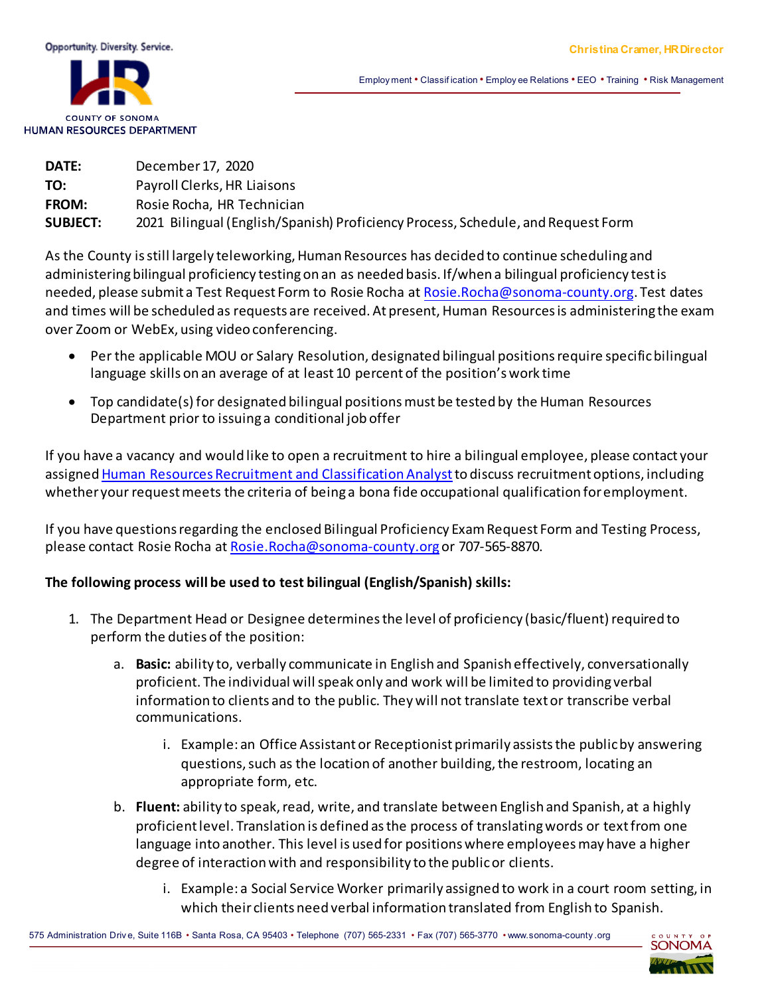

Employ ment • Classif ication • Employ ee Relations • EEO • Training • Risk Management

| <b>DATE:</b>    | December 17, 2020                                                                |
|-----------------|----------------------------------------------------------------------------------|
| TO:             | Payroll Clerks, HR Liaisons                                                      |
| <b>FROM:</b>    | Rosie Rocha, HR Technician                                                       |
| <b>SUBJECT:</b> | 2021 Bilingual (English/Spanish) Proficiency Process, Schedule, and Request Form |

As the County is still largely teleworking, Human Resources has decided to continue scheduling and administering bilingual proficiency testing on an as needed basis. If/when a bilingual proficiency test is needed, please submit a Test Request Form to Rosie Rocha at Rosie.R[ocha@sonoma-county.org.](mailto:rosie.rocha@sonoma-county.org) Test dates and times will be scheduled as requests are received. At present, Human Resources is administering the exam over Zoom or WebEx, using video conferencing.

- Per the applicable MOU or Salary Resolution, designated bilingual positions require specificbilingual language skills on an average of at least 10 percent of the position's work time
- Top candidate(s) for designated bilingual positions must be tested by the Human Resources Department prior to issuing a conditional job offer

If you have a vacancy and would like to open a recruitment to hire a bilingual employee, please contact your assigned Human Resources Recruitment and Classification Analyst to discuss recruitment options, including whether your request meets the criteria of being a bona fide occupational qualification for employment.

If you have questions regarding the enclosed Bilingual Proficiency Exam Request Form and Testing Process, please contact Rosie Rocha at [Rosie.Rocha@sonoma-county.org](mailto:Rosie.Rocha@sonoma-county.org) or 707-565-8870.

#### **The following process will be used to test bilingual (English/Spanish) skills:**

- 1. The Department Head or Designee determines the level of proficiency (basic/fluent) required to perform the duties of the position:
	- a. **Basic:** ability to, verbally communicate in English and Spanish effectively, conversationally proficient. The individual will speak only and work will be limited to providing verbal information to clients and to the public. They will not translate text or transcribe verbal communications.
		- i. Example: an Office Assistant or Receptionist primarily assists the public by answering questions, such as the location of another building, the restroom, locating an appropriate form, etc.
	- b. **Fluent:** ability to speak, read, write, and translate between English and Spanish, at a highly proficient level. Translation is defined asthe process of translating words or text from one language into another. This level is used for positions where employees may have a higher degree of interaction with and responsibility to the publicor clients.
		- i. Example: a Social Service Worker primarily assigned to work in a court room setting, in which their clients need verbal information translated from English to Spanish.

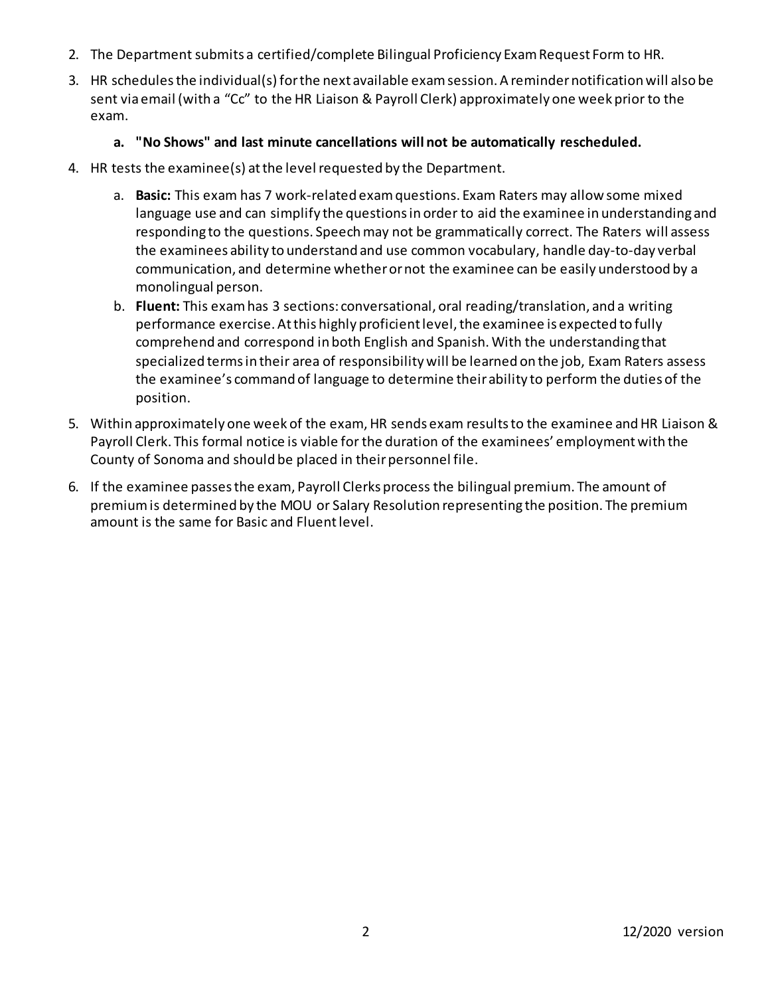- 2. The Department submits a certified/complete Bilingual Proficiency Exam Request Form to HR.
- 3. HR schedules the individual(s) for the next available examsession. A reminder notification will also be sent viaemail (with a "Cc" to the HR Liaison & Payroll Clerk) approximately one week prior to the exam.

### **a. "No Shows" and last minute cancellations will not be automatically rescheduled.**

- 4. HR tests the examinee(s) at the level requested by the Department.
	- a. **Basic:** This exam has 7 work-related exam questions. Exam Raters may allow some mixed language use and can simplify the questions in order to aid the examinee in understanding and responding to the questions. Speech may not be grammatically correct. The Raters will assess the examinees ability to understand and use common vocabulary, handle day-to-day verbal communication, and determine whether or not the examinee can be easily understood by a monolingual person.
	- b. **Fluent:** This exam has 3 sections: conversational, oral reading/translation, and a writing performance exercise. At this highly proficient level, the examinee is expected to fully comprehend and correspond in both English and Spanish. With the understanding that specialized terms in their area of responsibility will be learned on the job, Exam Raters assess the examinee's command of language to determine their ability to perform the duties of the position.
- 5. Within approximately one week of the exam, HR sends exam results to the examinee and HR Liaison & Payroll Clerk. This formal notice is viable for the duration of the examinees' employment with the County of Sonoma and should be placed in their personnel file.
- 6. If the examinee passes the exam, Payroll Clerks process the bilingual premium. The amount of premium is determined by the MOU or Salary Resolution representing the position. The premium amount is the same for Basic and Fluent level.